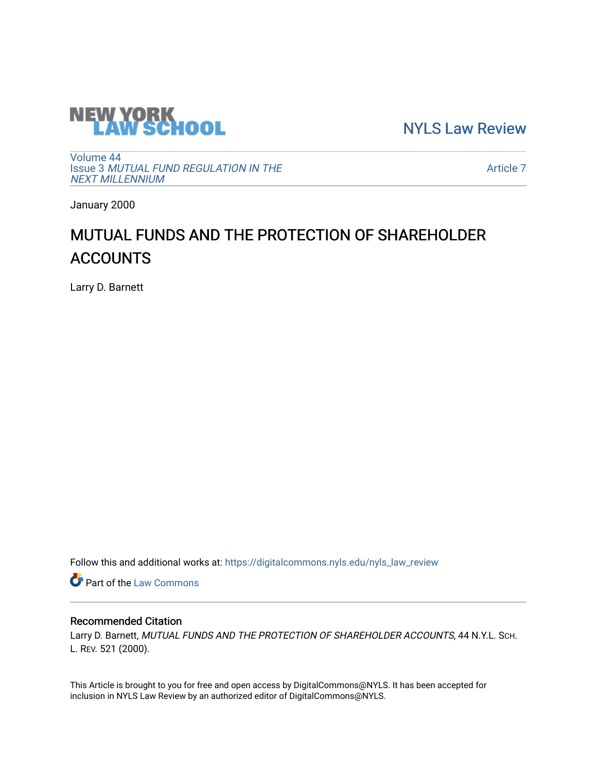

[NYLS Law Review](https://digitalcommons.nyls.edu/nyls_law_review) 

[Volume 44](https://digitalcommons.nyls.edu/nyls_law_review/vol44) Issue 3 [MUTUAL FUND REGULATION IN THE](https://digitalcommons.nyls.edu/nyls_law_review/vol44/iss3)  [NEXT MILLENNIUM](https://digitalcommons.nyls.edu/nyls_law_review/vol44/iss3)

[Article 7](https://digitalcommons.nyls.edu/nyls_law_review/vol44/iss3/7) 

January 2000

# MUTUAL FUNDS AND THE PROTECTION OF SHAREHOLDER ACCOUNTS

Larry D. Barnett

Follow this and additional works at: [https://digitalcommons.nyls.edu/nyls\\_law\\_review](https://digitalcommons.nyls.edu/nyls_law_review?utm_source=digitalcommons.nyls.edu%2Fnyls_law_review%2Fvol44%2Fiss3%2F7&utm_medium=PDF&utm_campaign=PDFCoverPages) 

**Part of the [Law Commons](https://network.bepress.com/hgg/discipline/578?utm_source=digitalcommons.nyls.edu%2Fnyls_law_review%2Fvol44%2Fiss3%2F7&utm_medium=PDF&utm_campaign=PDFCoverPages)** 

## Recommended Citation

Larry D. Barnett, MUTUAL FUNDS AND THE PROTECTION OF SHAREHOLDER ACCOUNTS, 44 N.Y.L. SCH. L. REV. 521 (2000).

This Article is brought to you for free and open access by DigitalCommons@NYLS. It has been accepted for inclusion in NYLS Law Review by an authorized editor of DigitalCommons@NYLS.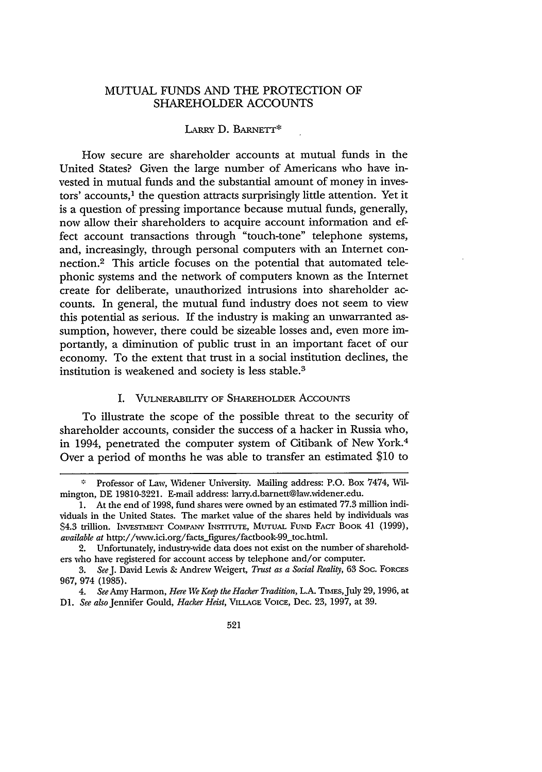## MUTUAL FUNDS AND THE PROTECTION OF SHAREHOLDER ACCOUNTS

#### LARRY D. BARNETr\*

How secure are shareholder accounts at mutual funds in the United States? Given the large number of Americans who have invested in mutual funds and the substantial amount of money in investors' accounts,<sup>1</sup> the question attracts surprisingly little attention. Yet it is a question of pressing importance because mutual funds, generally, now allow their shareholders to acquire account information and effect account transactions through "touch-tone" telephone systems, and, increasingly, through personal computers with an Internet connection.<sup>2</sup> This article focuses on the potential that automated telephonic systems and the network of computers known as the Internet create for deliberate, unauthorized intrusions into shareholder accounts. In general, the mutual fund industry does not seem to view this potential as serious. If the industry is making an unwarranted assumption, however, there could be sizeable losses and, even more importantly, a diminution of public trust in an important facet of our economy. To the extent that trust in a social institution declines, the institution is weakened and society is less stable.3

#### I. VULNERABILITY OF SHAREHOLDER AccouNTs

To illustrate the scope of the possible threat to the security of shareholder accounts, consider the success of a hacker in Russia who, in 1994, penetrated the computer system of Citibank of New York.<sup>4</sup> Over a period of months he was able to transfer an estimated \$10 to

**<sup>&</sup>quot;** Professor of Law, Widener University. Mailing address: P.O. Box 7474, Wilmington, DE 19810-3221. E-mail address: larry.d.barnett@law.widener.edu.

<sup>1.</sup> At the end of 1998, fund shares were owned by an estimated 77.3 million individuals in the United States. The market value of the shares held by individuals was \$4.3 trillion. INVESTMENT COMPANY INsTrrUTE, MUrUAL **FUND** FACT BOOK 41 (1999), *available at* http://www.ici.org/facts.figures/factbook-99\_toc.html.

<sup>2.</sup> Unfortunately, industry-wide data does not exist on the number of shareholders who have registered for account access by telephone and/or computer.

*<sup>3.</sup> SeeJ.* David Lewis & Andrew Weigert, *Trust as a Social Reality,* 63 Soc. FORCES 967, 974 (1985).

<sup>4.</sup> *See* Amy Harmon, *Here We Keep the Hacker Tradition,* L.A. Tiras, July 29, 1996, at *Dl. See also* Jennifer Gould, *Hacker Heist,* VILLAGE VOICE, Dec. 23, 1997, at 39.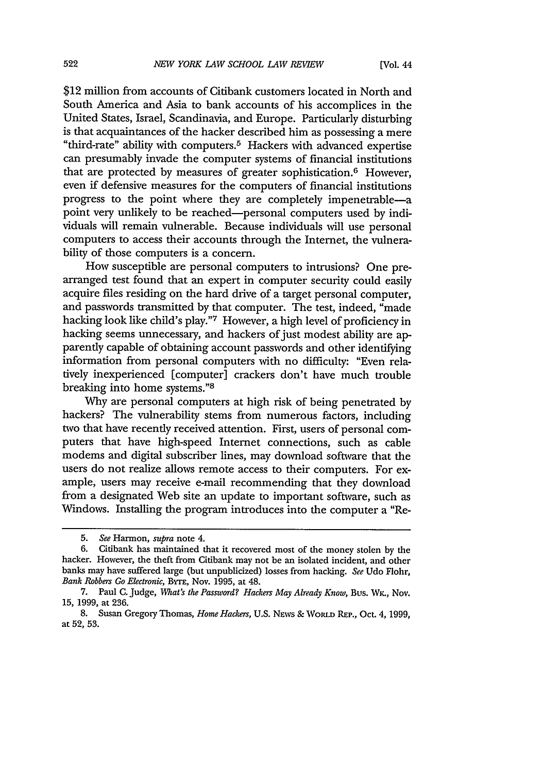\$12 million from accounts of Citibank customers located in North and South America and Asia to bank accounts of his accomplices in the United States, Israel, Scandinavia, and Europe. Particularly disturbing is that acquaintances of the hacker described him as possessing a mere "third-rate" ability with computers.5 Hackers with advanced expertise can presumably invade the computer systems of financial institutions that are protected by measures of greater sophistication.6 However, even if defensive measures for the computers of financial institutions progress to the point where they are completely impenetrable-a point very unlikely to be reached-personal computers used by individuals will remain vulnerable. Because individuals will use personal computers to access their accounts through the Internet, the vulnerability of those computers is a concern.

How susceptible are personal computers to intrusions? One prearranged test found that an expert in computer security could easily acquire files residing on the hard drive of a target personal computer, and passwords transmitted by that computer. The test, indeed, "made hacking look like child's play."7 However, a high level of proficiency in hacking seems unnecessary, and hackers of just modest ability are apparently capable of obtaining account passwords and other identifying information from personal computers with no difficulty: "Even relatively inexperienced [computer] crackers don't have much trouble breaking into home systems."8

Why are personal computers at high risk of being penetrated by hackers? The vulnerability stems from numerous factors, including two that have recently received attention. First, users of personal computers that have high-speed Internet connections, such as cable modems and digital subscriber lines, may download software that the users do not realize allows remote access to their computers. For example, users may receive e-mail recommending that they download from a designated Web site an update to important software, such as Windows. Installing the program introduces into the computer a "Re-

<sup>5.</sup> *See* Harmon, *supra* note 4.

<sup>6.</sup> Citibank has maintained that it recovered most of the money stolen by the hacker. However, the theft from Citibank may not be an isolated incident, and other banks may have suffered large (but unpublicized) losses from hacking. *See* Udo Flohr, *Bank Robbers Go Electronic, BYTE, Nov. 1995, at 48.* 

<sup>7.</sup> Paul **C.** Judge, *What's the Password?. Hackers May Already Know,* Bus. Wy., Nov. 15, 1999, at 236.

<sup>8.</sup> Susan Gregory Thomas, *Home Hackers,* U.S. **NEws** & WORLD REP., Oct. 4, 1999, at 52, 53.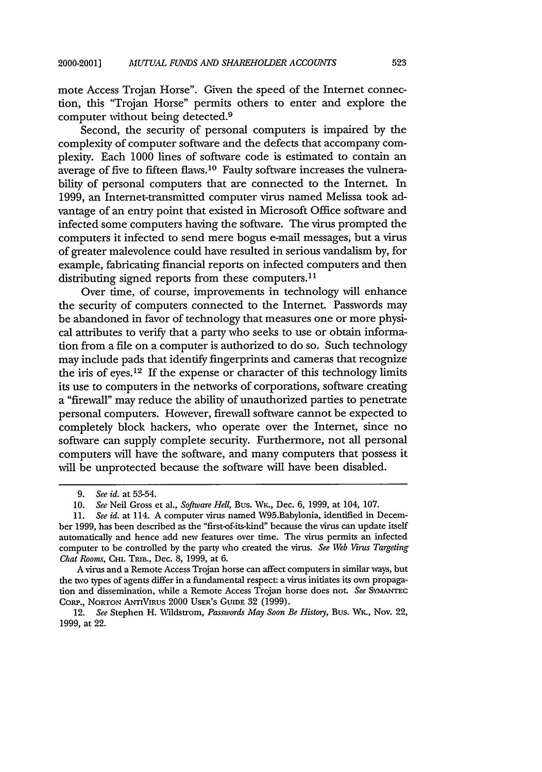mote Access Trojan Horse". Given the speed of the Internet connection, this "Trojan Horse" permits others to enter and explore the computer without being detected.<sup>9</sup>

Second, the security of personal computers is impaired by the complexity of computer software and the defects that accompany complexity. Each 1000 lines of software code is estimated to contain an average of five to fifteen flaws.<sup>10</sup> Faulty software increases the vulnerability of personal computers that are connected to the Internet. In 1999, an Intemet-transmitted computer virus named Melissa took advantage of an entry point that existed in Microsoft Office software and infected some computers having the software. The virus prompted the computers it infected to send mere bogus e-mail messages, but a virus of greater malevolence could have resulted in serious vandalism by, for example, fabricating financial reports on infected computers and then distributing signed reports from these computers.<sup>11</sup>

Over time, of course, improvements in technology will enhance the security of computers connected to the Internet. Passwords may be abandoned in favor of technology that measures one or more physical attributes to verify that a party who seeks to use or obtain information from a file on a computer is authorized to do so. Such technology may include pads that identify fingerprints and cameras that recognize the iris of eyes.<sup>12</sup> If the expense or character of this technology limits its use to computers in the networks of corporations, software creating a "firewall" may reduce the ability of unauthorized parties to penetrate personal computers. However, firewall software cannot be expected to completely block hackers, who operate over the Internet, since no software can supply complete security. Furthermore, not all personal computers will have the software, and many computers that possess it will be unprotected because the software will have been disabled.

12. See Stephen H. Wildstrom, *Passwords May Soon Be History*, Bus. Wk., Nov. 22, 1999, at 22.

<sup>9.</sup> *See id.* at 53-54.

<sup>10.</sup> *See* Neil Gross et al., *Software Hell,* Bus. Wy-, Dec. 6, 1999, at 104, 107.

<sup>11.</sup> *See id.* at 114. A computer virus named W95.Babylonia, identified in December 1999, has been described as the "first-of-its-kind" because the virus can update itself automatically and hence add new features over time. The virus permits an infected computer to be controlled by the party who created the virus. *See Web Virus Targeting Chat Rooms, CHI. TRIB., Dec. 8, 1999, at 6.* 

A virus and a Remote Access Trojan horse can affect computers in similar ways, but the two types of agents differ in a fundamental respect: a virus initiates its own propagation and dissemination, while a Remote Access Trojan horse does not. *See SvMANTlc* CORP., **NORTON** ANTIVIRus 2000 USER's **GUIDE** 32 (1999).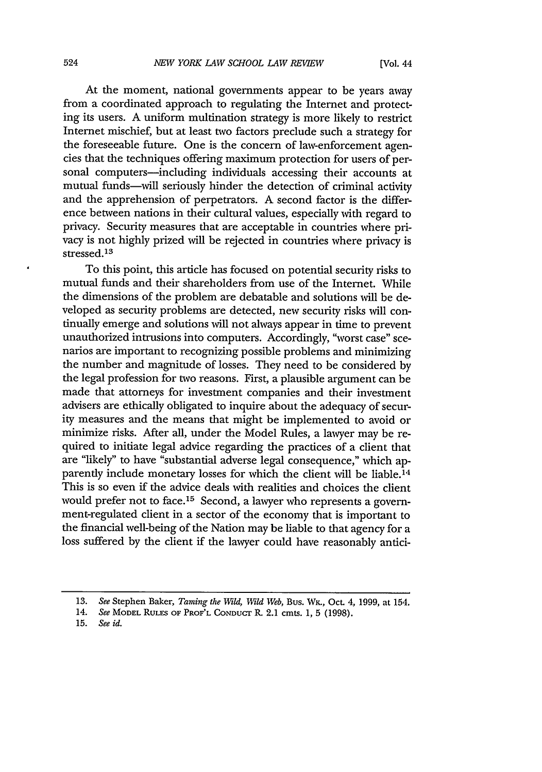At the moment, national governments appear to be years away from a coordinated approach to regulating the Internet and protecting its users. A uniform multination strategy is more likely to restrict Internet mischief, but at least two factors preclude such a strategy for the foreseeable future. One is the concern of law-enforcement agencies that the techniques offering maximum protection for users of personal computers-including individuals accessing their accounts at mutual funds-will seriously hinder the detection of criminal activity and the apprehension of perpetrators. A second factor is the difference between nations in their cultural values, especially with regard to privacy. Security measures that are acceptable in countries where privacy is not highly prized will be rejected in countries where privacy is stressed.<sup>13</sup>

To this point, this article has focused on potential security risks to mutual funds and their shareholders from use of the Internet. While the dimensions of the problem are debatable and solutions will be developed as security problems are detected, new security risks will continually emerge and solutions will not always appear in time to prevent unauthorized intrusions into computers. Accordingly, "worst case" scenarios are important to recognizing possible problems and minimizing the number and magnitude of losses. They need to be considered by the legal profession for two reasons. First, a plausible argument can be made that attorneys for investment companies and their investment advisers are ethically obligated to inquire about the adequacy of security measures and the means that might be implemented to avoid or minimize risks. After all, under the Model Rules, a lawyer may be required to initiate legal advice regarding the practices of a client that are "likely" to have "substantial adverse legal consequence," which apparentiy include monetary losses for which the client will be liable. <sup>14</sup> This is so even if the advice deals with realities and choices the client would prefer not to face.<sup>15</sup> Second, a lawyer who represents a government-regulated client in a sector of the economy that is important to the financial well-being of the Nation may be liable to that agency for a loss suffered by the client if the lawyer could have reasonably antici-

**<sup>13.</sup>** *See* Stephen Baker, *Taming the Wild, Wild Web,* Bus. Wx., Oct. 4, 1999, at 154.

<sup>14.</sup> *See* MODEL RULES OF PROF'L CONDUCT R. 2.1 cmts. 1, 5 (1998).

<sup>15.</sup> *See id.*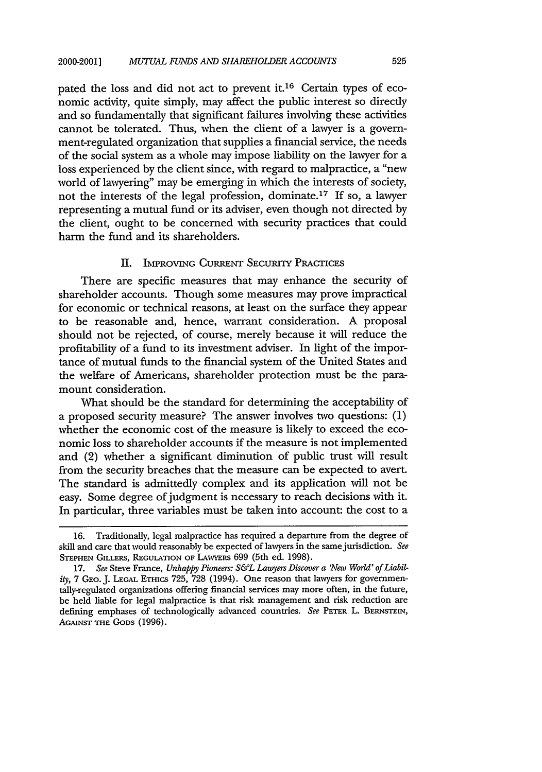pated the loss and did not act to prevent it.16 Certain types of economic activity, quite simply, may affect the public interest so directly and so fundamentally that significant failures involving these activities cannot be tolerated. Thus, when the client of a lawyer is a government-regulated organization that supplies a financial service, the needs of the social system as a whole may impose liability on the lawyer for a loss experienced by the client since, with regard to malpractice, a "new world of lawyering" may be emerging in which the interests of society, not the interests of the legal profession, dominate. 17 If so, a lawyer representing a mutual fund or its adviser, even though not directed by the client, ought to be concerned with security practices that could harm the fund and its shareholders.

#### II. IMPROVING CURRENT SECURIY PRAcricEs

There are specific measures that may enhance the security of shareholder accounts. Though some measures may prove impractical for economic or technical reasons, at least on the surface they appear to be reasonable and, hence, warrant consideration. A proposal should not be rejected, of course, merely because it will reduce the profitability of a fund to its investment adviser. In light of the importance of mutual funds to the financial system of the United States and the welfare of Americans, shareholder protection must be the paramount consideration.

What should be the standard for determining the acceptability of a proposed security measure? The answer involves two questions: **(1)** whether the economic cost of the measure is likely to exceed the economic loss to shareholder accounts if the measure is not implemented and (2) whether a significant diminution of public trust will result from the security breaches that the measure can be expected to avert. The standard is admittedly complex and its application will not be easy. Some degree of judgment is necessary to reach decisions with it. In particular, three variables must be taken into account: the cost to a

<sup>16.</sup> Traditionally, legal malpractice has required a departure from the degree of skill and care that would reasonably be expected of lawyers in the same jurisdiction. *See* **STEPHEN** GiLLERs, **REGULATION** OF LAWYERS 699 (5th ed. 1998).

<sup>17.</sup> See Steve France, Unhappy Pioneers: S&L Lawyers Discover a 'New World' of Liabil*ity,* 7 GEo. J. **LEGAL** ETHics 725, 728 (1994). One reason that lawyers for governmentally-regulated organizations offering financial services may more often, in the future, be held liable for legal malpractice is that risk management and risk reduction are defining emphases of technologically advanced countries. *See* **PETER** L. BERNSTEIN, **AGAINST** THE GODS (1996).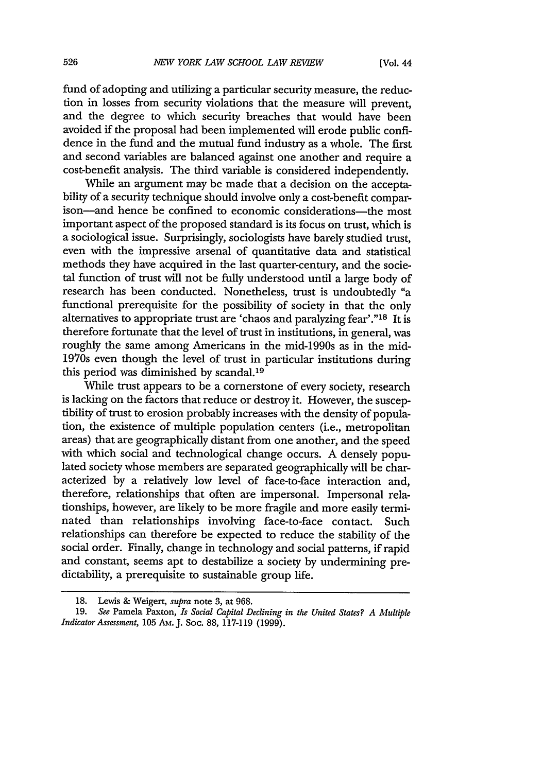fund of adopting and utilizing a particular security measure, the reduction in losses from security violations that the measure will prevent, and the degree to which security breaches that would have been avoided if the proposal had been implemented will erode public confidence in the fund and the mutual fund industry as a whole. The first and second variables are balanced against one another and require a cost-benefit analysis. The third variable is considered independently.

While an argument may be made that a decision on the acceptability of a security technique should involve only a cost-benefit comparison-and hence be confined to economic considerations-the most important aspect of the proposed standard is its focus on trust, which is a sociological issue. Surprisingly, sociologists have barely studied trust, even with the impressive arsenal of quantitative data and statistical methods they have acquired in the last quarter-century, and the societal function of trust will not be fully understood until a large body of research has been conducted. Nonetheless, trust is undoubtedly "a functional prerequisite for the possibility of society in that the only alternatives to appropriate trust are 'chaos and paralyzing fear'."<sup>18</sup> It is therefore fortunate that the level of trust in institutions, in general, was roughly the same among Americans in the mid-1990s as in the mid-1970s even though the level of trust in particular institutions during this period was diminished by scandal.<sup>19</sup>

While trust appears to be a cornerstone of every society, research is lacking on the factors that reduce or destroy it. However, the susceptibility of trust to erosion probably increases with the density of population, the existence of multiple population centers (i.e., metropolitan areas) that are geographically distant from one another, and the speed with which social and technological change occurs. A densely populated society whose members are separated geographically will be characterized by a relatively low level of face-to-face interaction and, therefore, relationships that often are impersonal. Impersonal relationships, however, are likely to be more fragile and more easily terminated than relationships involving face-to-face contact. Such relationships can therefore be expected to reduce the stability of the social order. Finally, change in technology and social patterns, if rapid and constant, seems apt to destabilize a society by undermining predictability, a prerequisite to sustainable group life.

**<sup>18.</sup>** Lewis & Weigert, *supra* note 3, at 968.

<sup>19.</sup> *See* Pamela Paxton, *Is Social Capital Declining in the United States? A Multiple Indicator Assessment,* 105 Am.J. Soc. 88, 117-119 (1999).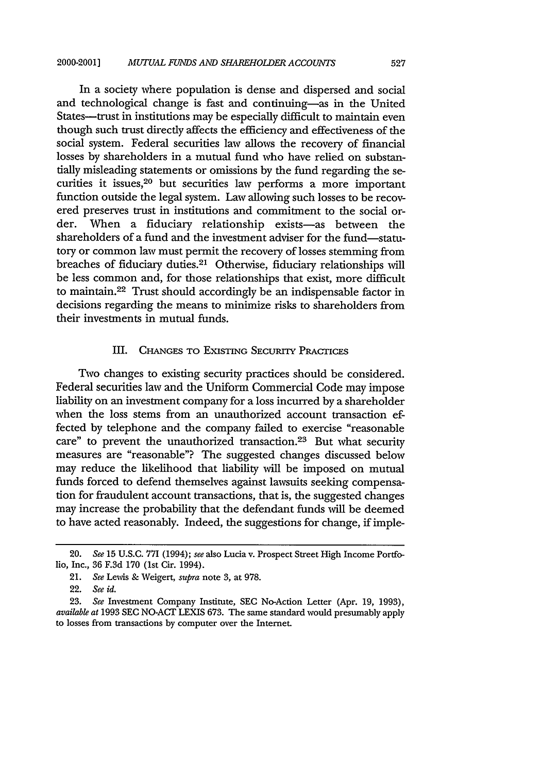#### 2000-2001] *MUTUAL FUNDS AND SHAREHOLDER ACCOUNTS* 527

In a society where population is dense and dispersed and social and technological change is fast and continuing-as in the United States--trust in institutions may be especially difficult to maintain even though such trust directly affects the efficiency and effectiveness of the social system. Federal securities law allows the recovery of financial losses by shareholders in a mutual fund who have relied on substantially misleading statements or omissions by the fund regarding the securities it issues, 20 but securities law performs a more important function outside the legal system. Law allowing such losses to be recovered preserves trust in institutions and commitment to the social order. When a fiduciary relationship exists—as between the shareholders of a fund and the investment adviser for the fund-statutory or common law must permit the recovery of losses stemming from breaches of fiduciary duties.<sup>21</sup> Otherwise, fiduciary relationships will be less common and, for those relationships that exist, more difficult to maintain. 22 Trust should accordingly be an indispensable factor in decisions regarding the means to minimize risks to shareholders from their investments in mutual funds.

#### III. CHANGES TO EXISTING SECURITY PRACTICES

Two changes to existing security practices should be considered. Federal securities law and the Uniform Commercial Code may impose liability on an investment company for a loss incurred by a shareholder when the loss stems from an unauthorized account transaction effected by telephone and the company failed to exercise "reasonable care" to prevent the unauthorized transaction.<sup>23</sup> But what security measures are "reasonable"? The suggested changes discussed below may reduce the likelihood that liability will be imposed on mutual funds forced to defend themselves against lawsuits seeking compensation for fraudulent account transactions, that is, the suggested changes may increase the probability that the defendant funds will be deemed to have acted reasonably. Indeed, the suggestions for change, if imple-

<sup>20.</sup> *See* 15 U.S.C. 771 (1994); *see* also Lucia v. Prospect Street High Income Portfolio, Inc., 36 F.3d 170 (1st Cir. 1994).

<sup>21.</sup> *See* Lewis & Weigert, *supra* note 3, at 978.

<sup>22.</sup> *See id.*

<sup>23.</sup> *See* Investment Company Institute, **SEC** No-Action Letter (Apr. 19, 1993), *available at* 1993 **SEC** NO-ACr LEXIS 673. The same standard would presumably apply to losses from transactions by computer over the Intemet.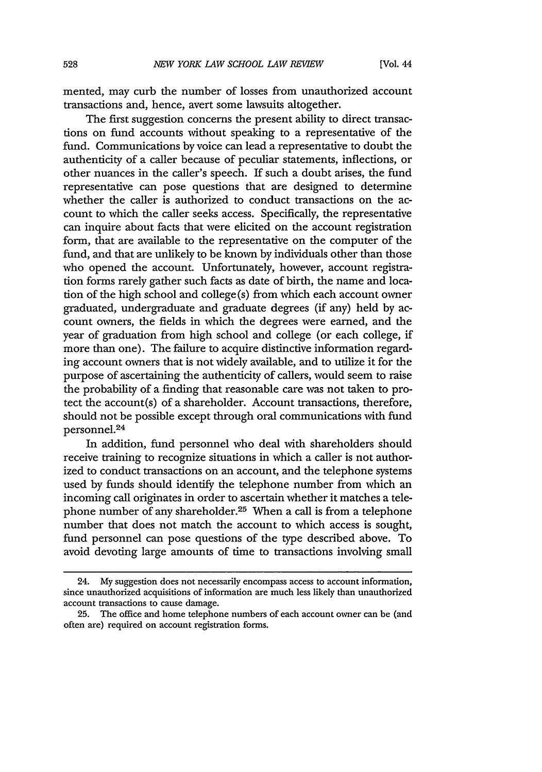mented, may curb the number of losses from unauthorized account transactions and, hence, avert some lawsuits altogether.

The first suggestion concerns the present ability to direct transactions on fund accounts without speaking to a representative of the fund. Communications by voice can lead a representative to doubt the authenticity of a caller because of peculiar statements, inflections, or other nuances in the caller's speech. If such a doubt arises, the fund representative can pose questions that are designed to determine whether the caller is authorized to conduct transactions on the account to which the caller seeks access. Specifically, the representative can inquire about facts that were elicited on the account registration form, that are available to the representative on the computer of the fund, and that are unlikely to be known by individuals other than those who opened the account. Unfortunately, however, account registration forms rarely gather such facts as date of birth, the name and location of the high school and college (s) from which each account owner graduated, undergraduate and graduate degrees (if any) held by account owners, the fields in which the degrees were earned, and the year of graduation from high school and college (or each college, if more than one). The failure to acquire distinctive information regarding account owners that is not widely available, and to utilize it for the purpose of ascertaining the authenticity of callers, would seem to raise the probability of a finding that reasonable care was not taken to protect the account(s) of a shareholder. Account transactions, therefore, should not be possible except through oral communications with fund personnel.<sup>24</sup>

In addition, fund personnel who deal with shareholders should receive training to recognize situations in which a caller is not authorized to conduct transactions on an account, and the telephone systems used by funds should identify the telephone number from which an incoming call originates in order to ascertain whether it matches a telephone number of any shareholder.<sup>25</sup> When a call is from a telephone number that does not match the account to which access is sought, fund personnel can pose questions of the type described above. To avoid devoting large amounts of time to transactions involving small

<sup>24.</sup> My suggestion does not necessarily encompass access to account information, since unauthorized acquisitions of information are much less likely than unauthorized account transactions to cause damage.

**<sup>25.</sup>** The office and home telephone numbers of each account owner can be (and often are) required on account registration forms.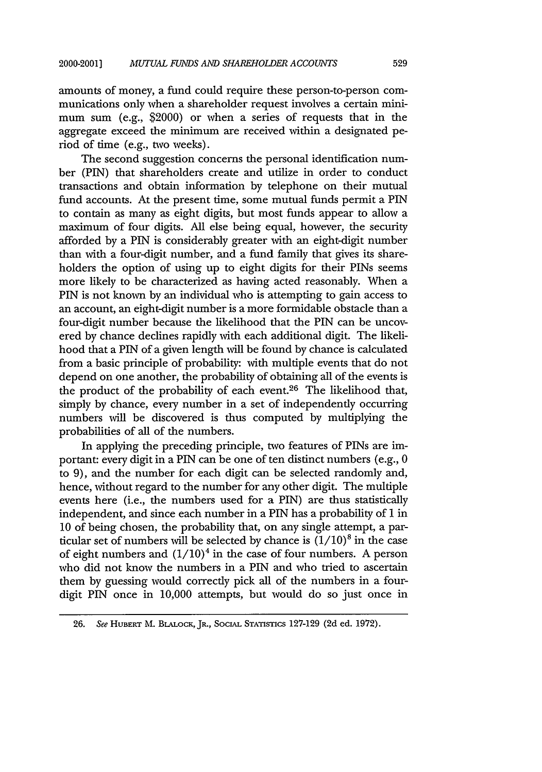amounts of money, a fund could require these person-to-person communications only when a shareholder request involves a certain minimum sum (e.g., \$2000) or when a series of requests that in the aggregate exceed the minimum are received within a designated period of time (e.g., two weeks).

The second suggestion concerns the personal identification number (PIN) that shareholders create and utilize in order to conduct transactions and obtain information by telephone on their mutual fund accounts. At the present time, some mutual funds permit a PIN to contain as many as eight digits, but most funds appear to allow a maximum of four digits. All else being equal, however, the security afforded by a PIN is considerably greater with an eight-digit number than with a four-digit number, and a fund family that gives its shareholders the option of using up to eight digits for their PINs seems more likely to be characterized as having acted reasonably. When a PIN is not known by an individual who is attempting to gain access to an account, an eight-digit number is a more formidable obstacle than a four-digit number because the likelihood that the PIN can be uncovered by chance declines rapidly with each additional digit. The likelihood that a PIN of a given length will be found by chance is calculated from a basic principle of probability: with multiple events that do not depend on one another, the probability of obtaining all of the events is the product of the probability of each event.26 The likelihood that, simply by chance, every number in a set of independently occurring numbers will be discovered is thus computed by multiplying the probabilities of all of the numbers.

In applying the preceding principle, two features of PINs are important: every digit in a PIN can be one of ten distinct numbers (e.g., 0 to 9), and the number for each digit can be selected randomly and, hence, without regard to the number for any other digit. The multiple events here (i.e., the numbers used for a PIN) are thus statistically independent, and since each number in a PIN has a probability of 1 in 10 of being chosen, the probability that, on any single attempt, a particular set of numbers will be selected by chance is  $(1/10)^8$  in the case of eight numbers and  $(1/10)^4$  in the case of four numbers. A person who did not know the numbers in a PIN and who tried to ascertain them by guessing would correctly pick all of the numbers in a fourdigit **PIN** once in 10,000 attempts, but would do so just once in

**<sup>26.</sup>** *See* HUBERT M. BLALocK, JR., SOCIAL STATISTICS 127-129 (2d ed. 1972).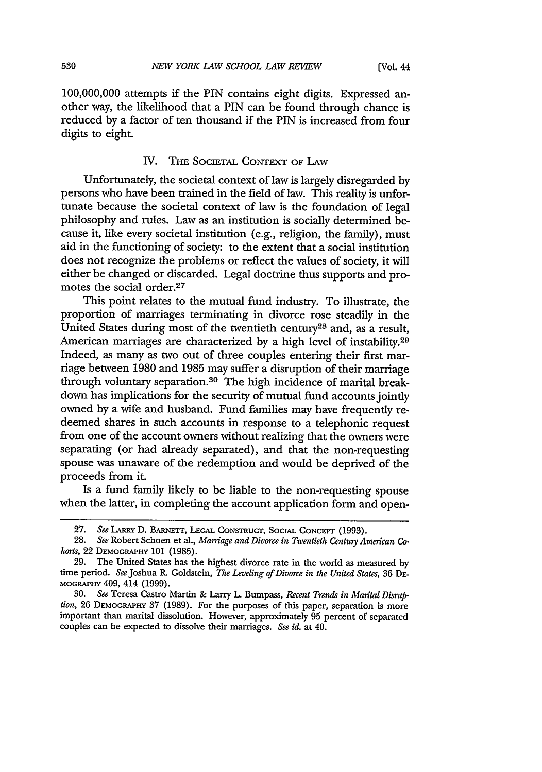100,000,000 attempts if the PIN contains eight digits. Expressed another way, the likelihood that a PIN can be found through chance is reduced by a factor of ten thousand if the PIN is increased from four digits to eight.

### IV. THE **SOCIETAL CONTEXT** OF **LAW**

Unfortunately, the societal context of law is largely disregarded by persons who have been trained in the field of law. This reality is unfortunate because the societal context of law is the foundation of legal philosophy and rules. Law as an institution is socially determined because it, like every societal institution (e.g., religion, the family), must aid in the functioning of society: to the extent that a social institution does not recognize the problems or reflect the values of society, it will either be changed or discarded. Legal doctrine thus supports and promotes the social order.<sup>27</sup>

This point relates to the mutual fund industry. To illustrate, the proportion of marriages terminating in divorce rose steadily in the United States during most of the twentieth century<sup>28</sup> and, as a result, American marriages are characterized by a high level of instability.<sup>29</sup> Indeed, as many as two out of three couples entering their first marriage between 1980 and 1985 may suffer a disruption of their marriage through voluntary separation.30 The high incidence of marital breakdown has implications for the security of mutual fund accounts jointly owned by a wife and husband. Fund families may have frequently redeemed shares in such accounts in response to a telephonic request from one of the account owners without realizing that the owners were separating (or had already separated), and that the non-requesting spouse was unaware of the redemption and would be deprived of the proceeds from it.

Is a fund family likely to be liable to the non-requesting spouse when the latter, in completing the account application form and open-

<sup>27.</sup> See LARRY D. BARNETT, LEGAL CONSTRUCT, SOCIAL CONCEPT (1993).

<sup>28.</sup> *See* Robert Schoen et al., *Marriage and Divorce in Twentieth Centuy American Cohorts,* 22 DEMOGRAPHY **101** (1985).

<sup>29.</sup> The United States has the highest divorce rate in the world as measured by time period. *See* Joshua R. Goldstein, *The Leveling of Divorce in the United States,* 36 DE-**MOGRAPHY** 409, 414 (1999).

<sup>30.</sup> *See* Teresa Castro Martin & Larry L. Bumpass, *Recent Trends in Marital Disruption,* 26 DEMOGRAPHY 37 (1989). For the purposes of this paper, separation is more important than marital dissolution. However, approximately 95 percent of separated couples can be expected to dissolve their marriages. *See id.* at 40.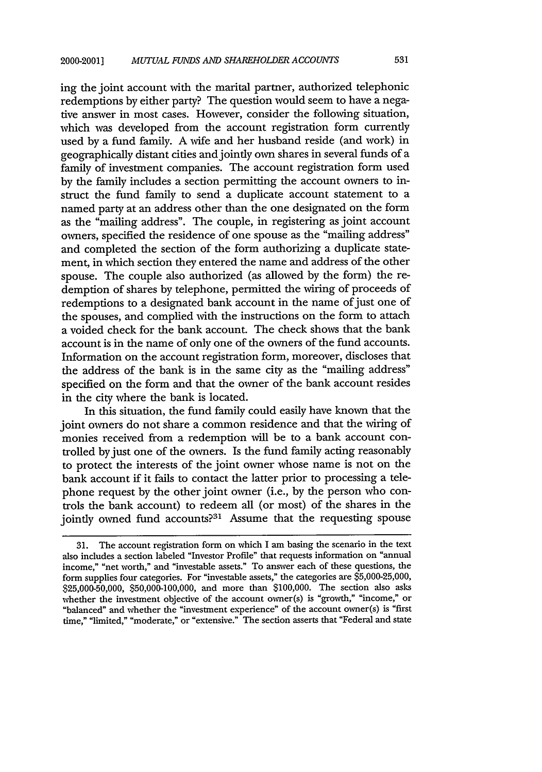ing the joint account with the marital partner, authorized telephonic redemptions by either party? The question would seem to have a negative answer in most cases. However, consider the following situation, which was developed from the account registration form currently used by a fund family. A wife and her husband reside (and work) in geographically distant cities and jointly own shares in several funds of a family of investment companies. The account registration form used by the family includes a section permitting the account owners to instruct the fund family to send a duplicate account statement to a named party at an address other than the one designated on the form as the "mailing address". The couple, in registering as joint account owners, specified the residence of one spouse as the "mailing address" and completed the section of the form authorizing a duplicate statement, in which section they entered the name and address of the other spouse. The couple also authorized (as allowed by the form) the redemption of shares by telephone, permitted the wiring of proceeds of redemptions to a designated bank account in the name of just one of the spouses, and complied with the instructions on the form to attach a voided check for the bank account. The check shows that the bank account is in the name of only one of the owners of the fund accounts. Information on the account registration form, moreover, discloses that the address of the bank is in the same city as the "mailing address" specified on the form and that the owner of the bank account resides in the city where the bank is located.

In this situation, the fund family could easily have known that the joint owners do not share a common residence and that the wiring of monies received from a redemption will be to a bank account controlled by just one of the owners. Is the fund family acting reasonably to protect the interests of the joint owner whose name is not on the bank account if it fails to contact the latter prior to processing a telephone request by the other joint owner (i.e., by the person who controls the bank account) to redeem all (or most) of the shares in the jointly owned fund accounts?<sup>31</sup> Assume that the requesting spouse

<sup>31.</sup> The account registration form on which I am basing the scenario in the text also includes a section labeled "Investor Profile" that requests information on "annual income," "net worth," and "investable assets." To answer each of these questions, the form supplies four categories. For "investable assets," the categories are \$5,000-25,000, \$25,000-50,000, \$50,000-100,000, and more than \$100,000. The section also asks whether the investment objective of the account owner(s) is "growth," "income," or "balanced" and whether the "investment experience" of the account owner(s) is "first time," "limited," "moderate," or "extensive." The section asserts that "Federal and state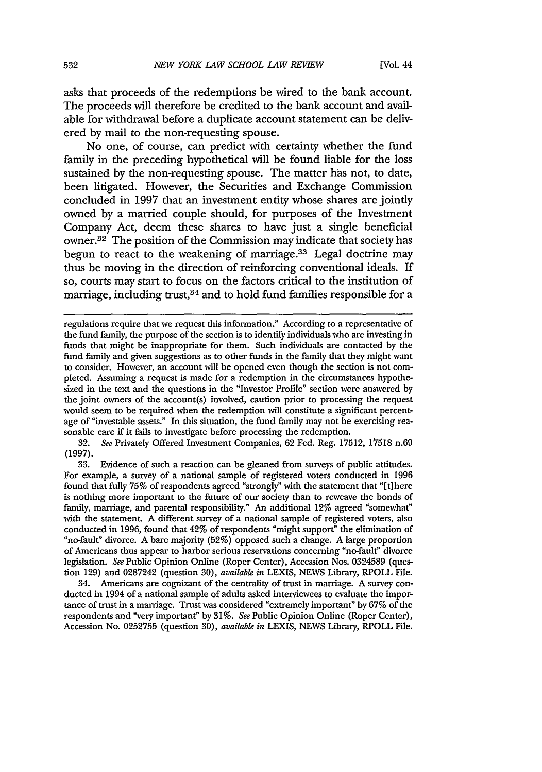asks that proceeds of the redemptions be wired to the bank account. The proceeds will therefore be credited to the bank account and available for withdrawal before a duplicate account statement can be delivered by mail to the non-requesting spouse.

No one, of course, can predict with certainty whether the fund family in the preceding hypothetical will be found liable for the loss sustained by the non-requesting spouse. The matter has not, to date, been litigated. However, the Securities and Exchange Commission concluded in 1997 that an investment entity whose shares are jointly owned by a married couple should, for purposes of the Investment Company Act, deem these shares to have just a single beneficial owner.32 The position of the Commission may indicate that society has begun to react to the weakening of marriage. $33$  Legal doctrine may thus be moving in the direction of reinforcing conventional ideals. If so, courts may start to focus on the factors critical to the institution of marriage, including trust,  $34$  and to hold fund families responsible for a

32. *See* Privately Offered Investment Companies, 62 Fed. Reg. 17512, 17518 n.69 (1997).

33. Evidence of such a reaction can be gleaned from surveys of public attitudes. For example, a survey of a national sample of registered voters conducted in 1996 found that fully 75% of respondents agreed "strongly" with the statement that "[t]here is nothing more important to the future of our society than to reweave the bonds of family, marriage, and parental responsibility." An additional 12% agreed "somewhat" with the statement. A different survey of a national sample of registered voters, also conducted in 1996, found that 42% of respondents "might support" the elimination of "no-fault" divorce. A bare majority (52%) opposed such a change. A large proportion of Americans thus appear to harbor serious reservations concerning "no-fault" divorce legislation. *See* Public Opinion Online (Roper Center), Accession Nos. 0324589 (question 129) and 0287242 (question 30), *available in* LEXIS, NEWS Library, RPOLL File.

34. Americans are cognizant of the centrality of trust in marriage. A survey conducted in 1994 of a national sample of adults asked interviewees to evaluate the importance of trust in a marriage. Trust was considered "extremely important" **by** 67% of the respondents and "very important" by 31%. *See* Public Opinion Online (Roper Center), Accession No. 0252755 (question 30), *available in* LEXIS, NEWS Library, RPOLL File.

regulations require that we request this information." According to a representative of the fund family, the purpose of the section is to identify individuals who are investing in funds that might be inappropriate for them. Such individuals are contacted by the fund family and given suggestions as to other funds in the family that they might want to consider. However, an account will be opened even though the section is not completed. Assuming a request is made for a redemption in the circumstances hypothesized in the text and the questions in the "Investor Profile" section were answered by the joint owners of the account(s) involved, caution prior to processing the request would seem to be required when the redemption will constitute a significant percentage of "investable assets." In this situation, the fund family may not be exercising reasonable care if it fails to investigate before processing the redemption.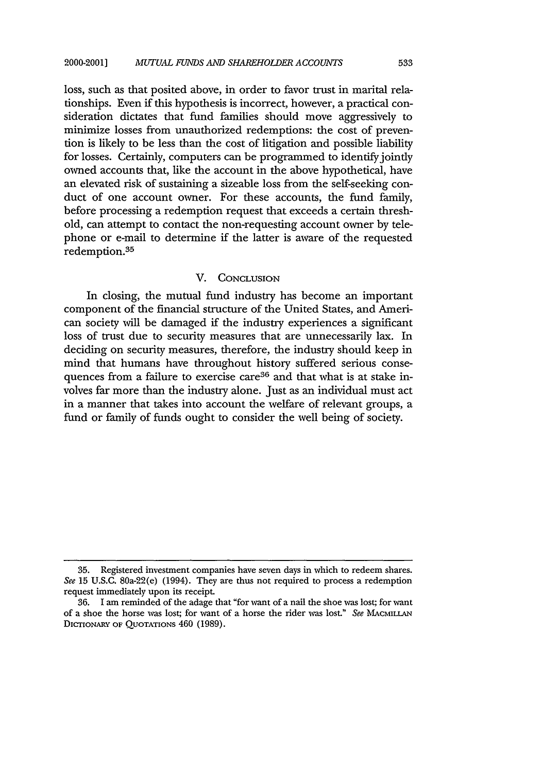loss, such as that posited above, in order to favor trust in marital relationships. Even if this hypothesis is incorrect, however, a practical consideration dictates that fund families should move aggressively to minimize losses from unauthorized redemptions: the cost of prevention is likely to be less than the cost of litigation and possible liability for losses. Certainly, computers can be programmed to identify jointly owned accounts that, like the account in the above hypothetical, have an elevated risk of sustaining a sizeable loss from the self-seeking conduct of one account owner. For these accounts, the fund family, before processing a redemption request that exceeds a certain threshold, can attempt to contact the non-requesting account owner by telephone or e-mail to determine if the latter is aware of the requested redemption.<sup>35</sup>

#### V. CONCLUSION

In closing, the mutual fund industry has become an important component of the financial structure of the United States, and American society will be damaged if the industry experiences a significant loss of trust due to security measures that are unnecessarily lax. In deciding on security measures, therefore, the industry should keep in mind that humans have throughout history suffered serious consequences from a failure to exercise care<sup>36</sup> and that what is at stake involves far more than the industry alone. Just as an individual must act in a manner that takes into account the welfare of relevant groups, a fund or family of funds ought to consider the well being of society.

<sup>35.</sup> Registered investment companies have seven days in which to redeem shares. *See* 15 U.S.C. 80a-22(e) (1994). They are thus not required to process a redemption request immediately upon its receipt.

<sup>36.</sup> I am reminded of the adage that "for want of a nail the shoe was lost; for want of a shoe the horse was lost; for want of a horse the rider was lost." *See* MAcmILLAN DICTIONARY OF **QUOTATIONS** 460 (1989).